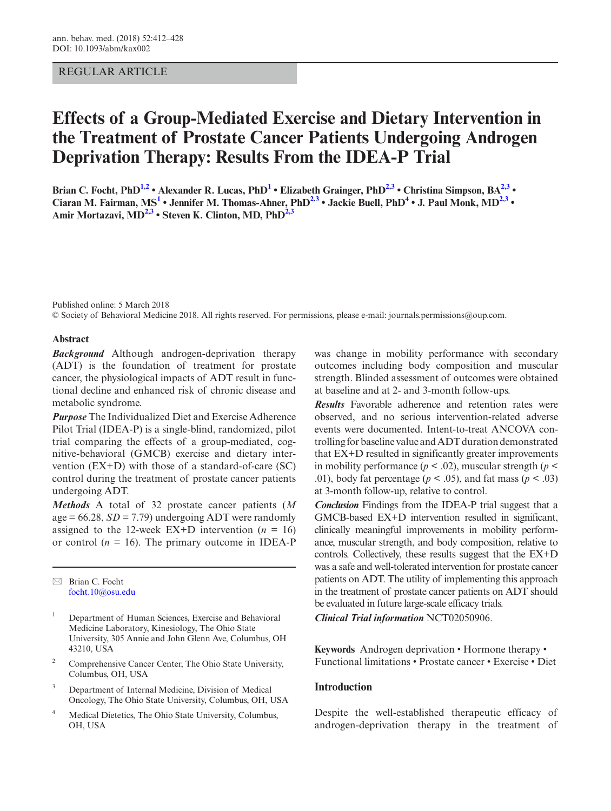## REGULAR ARTICLE

# **Effects of a Group-Mediated Exercise and Dietary Intervention in the Treatment of Prostate Cancer Patients Undergoing Androgen Deprivation Therapy: Results From the IDEA-P Trial**

Brian C. Focht, PhD<sup>[1](#page-0-0)[,2](#page-0-1)</sup> • Alexander R. Lucas, PhD<sup>1</sup> • Elizabeth Grainger, PhD<sup>2,[3](#page-0-2)</sup> • Christina Simpson, BA<sup>2,3</sup> • Ciaran M. Fairman, MS<sup>1</sup> • Jennifer M. Thomas-Ahner, PhD<sup>2,[3](#page-0-2)</sup> • Jackie Buell, PhD<sup>4</sup> • J. Paul Monk, MD<sup>2[,3](#page-0-2)</sup> • **Amir Mortazavi, M[D2](#page-0-1)[,3](#page-0-2) • Steven K. Clinton, MD, Ph[D2,](#page-0-1)[3](#page-0-2)**

Published online: 5 March 2018 © Society of Behavioral Medicine 2018. All rights reserved. For permissions, please e-mail: journals.permissions@oup.com.

#### **Abstract**

*Background* Although androgen-deprivation therapy (ADT) is the foundation of treatment for prostate cancer, the physiological impacts of ADT result in functional decline and enhanced risk of chronic disease and metabolic syndrome.

*Purpose* The Individualized Diet and Exercise Adherence Pilot Trial (IDEA-P) is a single-blind, randomized, pilot trial comparing the effects of a group-mediated, cognitive-behavioral (GMCB) exercise and dietary intervention  $(EX+D)$  with those of a standard-of-care  $(SC)$ control during the treatment of prostate cancer patients undergoing ADT.

*Methods* A total of 32 prostate cancer patients (*M* age  $= 66.28$ ,  $SD = 7.79$ ) undergoing ADT were randomly assigned to the 12-week EX+D intervention  $(n = 16)$ or control  $(n = 16)$ . The primary outcome in IDEA-P

 $\boxtimes$  Brian C. Focht [focht.10@osu.edu](mailto:focht.10@osu.edu?subject=)

- <span id="page-0-0"></span><sup>1</sup> Department of Human Sciences, Exercise and Behavioral Medicine Laboratory, Kinesiology, The Ohio State University, 305 Annie and John Glenn Ave, Columbus, OH 43210, USA
- <span id="page-0-1"></span><sup>2</sup> Comprehensive Cancer Center, The Ohio State University, Columbus, OH, USA
- <span id="page-0-2"></span><sup>3</sup> Department of Internal Medicine, Division of Medical Oncology, The Ohio State University, Columbus, OH, USA
- <span id="page-0-3"></span><sup>4</sup> Medical Dietetics, The Ohio State University, Columbus, OH, USA

was change in mobility performance with secondary outcomes including body composition and muscular strength. Blinded assessment of outcomes were obtained at baseline and at 2- and 3-month follow-ups.

*Results* Favorable adherence and retention rates were observed, and no serious intervention-related adverse events were documented. Intent-to-treat ANCOVA controlling for baseline value and ADT duration demonstrated that EX+D resulted in significantly greater improvements in mobility performance ( $p < .02$ ), muscular strength ( $p <$ .01), body fat percentage ( $p < .05$ ), and fat mass ( $p < .03$ ) at 3-month follow-up, relative to control.

*Conclusion* Findings from the IDEA-P trial suggest that a GMCB-based EX+D intervention resulted in significant, clinically meaningful improvements in mobility performance, muscular strength, and body composition, relative to controls. Collectively, these results suggest that the EX+D was a safe and well-tolerated intervention for prostate cancer patients on ADT. The utility of implementing this approach in the treatment of prostate cancer patients on ADT should be evaluated in future large-scale efficacy trials.

*Clinical Trial information* NCT02050906.

**Keywords** Androgen deprivation • Hormone therapy • Functional limitations • Prostate cancer • Exercise • Diet

## **Introduction**

Despite the well-established therapeutic efficacy of androgen-deprivation therapy in the treatment of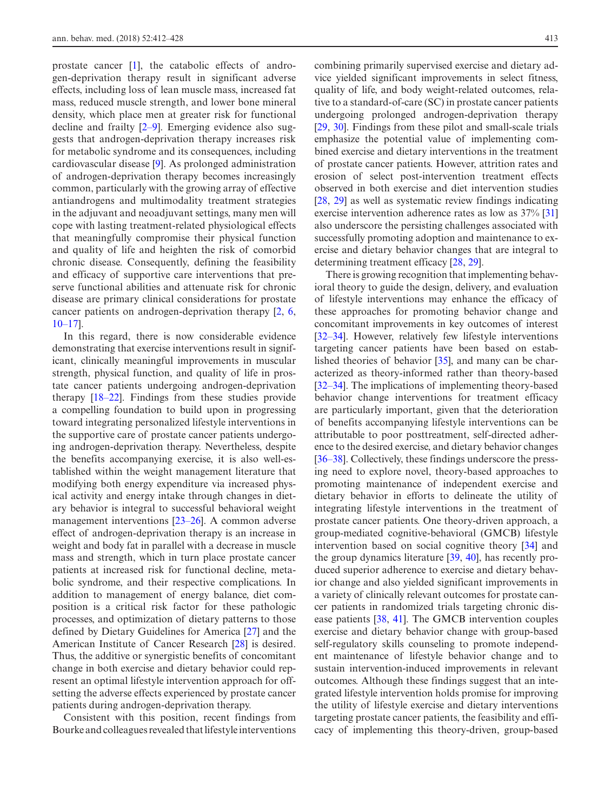prostate cancer [[1\]](#page-14-0), the catabolic effects of androgen-deprivation therapy result in significant adverse effects, including loss of lean muscle mass, increased fat mass, reduced muscle strength, and lower bone mineral density, which place men at greater risk for functional decline and frailty [\[2–9\]](#page-14-1). Emerging evidence also suggests that androgen-deprivation therapy increases risk for metabolic syndrome and its consequences, including cardiovascular disease [[9\]](#page-14-2). As prolonged administration of androgen-deprivation therapy becomes increasingly common, particularly with the growing array of effective antiandrogens and multimodality treatment strategies in the adjuvant and neoadjuvant settings, many men will cope with lasting treatment-related physiological effects that meaningfully compromise their physical function and quality of life and heighten the risk of comorbid chronic disease. Consequently, defining the feasibility and efficacy of supportive care interventions that preserve functional abilities and attenuate risk for chronic disease are primary clinical considerations for prostate cancer patients on androgen-deprivation therapy [\[2,](#page-14-1) [6,](#page-14-3) [10–17](#page-14-4)].

In this regard, there is now considerable evidence demonstrating that exercise interventions result in significant, clinically meaningful improvements in muscular strength, physical function, and quality of life in prostate cancer patients undergoing androgen-deprivation therapy [\[18–22](#page-14-5)]. Findings from these studies provide a compelling foundation to build upon in progressing toward integrating personalized lifestyle interventions in the supportive care of prostate cancer patients undergoing androgen-deprivation therapy. Nevertheless, despite the benefits accompanying exercise, it is also well-established within the weight management literature that modifying both energy expenditure via increased physical activity and energy intake through changes in dietary behavior is integral to successful behavioral weight management interventions [[23–26\]](#page-14-6). A common adverse effect of androgen-deprivation therapy is an increase in weight and body fat in parallel with a decrease in muscle mass and strength, which in turn place prostate cancer patients at increased risk for functional decline, metabolic syndrome, and their respective complications. In addition to management of energy balance, diet composition is a critical risk factor for these pathologic processes, and optimization of dietary patterns to those defined by Dietary Guidelines for America [\[27](#page-14-7)] and the American Institute of Cancer Research [[28\]](#page-14-8) is desired. Thus, the additive or synergistic benefits of concomitant change in both exercise and dietary behavior could represent an optimal lifestyle intervention approach for offsetting the adverse effects experienced by prostate cancer patients during androgen-deprivation therapy.

Consistent with this position, recent findings from Bourke and colleagues revealed that lifestyle interventions

combining primarily supervised exercise and dietary advice yielded significant improvements in select fitness, quality of life, and body weight-related outcomes, relative to a standard-of-care (SC) in prostate cancer patients undergoing prolonged androgen-deprivation therapy [\[29](#page-14-9), [30](#page-14-10)]. Findings from these pilot and small-scale trials emphasize the potential value of implementing combined exercise and dietary interventions in the treatment of prostate cancer patients. However, attrition rates and erosion of select post-intervention treatment effects observed in both exercise and diet intervention studies [\[28](#page-14-8), [29\]](#page-14-9) as well as systematic review findings indicating exercise intervention adherence rates as low as 37% [[31\]](#page-14-11) also underscore the persisting challenges associated with successfully promoting adoption and maintenance to exercise and dietary behavior changes that are integral to determining treatment efficacy [\[28](#page-14-8), [29\]](#page-14-9).

There is growing recognition that implementing behavioral theory to guide the design, delivery, and evaluation of lifestyle interventions may enhance the efficacy of these approaches for promoting behavior change and concomitant improvements in key outcomes of interest [\[32–34](#page-15-0)]. However, relatively few lifestyle interventions targeting cancer patients have been based on established theories of behavior [[35\]](#page-15-1), and many can be characterized as theory-informed rather than theory-based [\[32–34](#page-15-0)]. The implications of implementing theory-based behavior change interventions for treatment efficacy are particularly important, given that the deterioration of benefits accompanying lifestyle interventions can be attributable to poor posttreatment, self-directed adherence to the desired exercise, and dietary behavior changes [\[36–38](#page-15-2)]. Collectively, these findings underscore the pressing need to explore novel, theory-based approaches to promoting maintenance of independent exercise and dietary behavior in efforts to delineate the utility of integrating lifestyle interventions in the treatment of prostate cancer patients. One theory-driven approach, a group-mediated cognitive-behavioral (GMCB) lifestyle intervention based on social cognitive theory [\[34](#page-15-3)] and the group dynamics literature [\[39](#page-15-4), [40](#page-15-5)], has recently produced superior adherence to exercise and dietary behavior change and also yielded significant improvements in a variety of clinically relevant outcomes for prostate cancer patients in randomized trials targeting chronic disease patients [\[38](#page-15-6), [41](#page-15-7)]. The GMCB intervention couples exercise and dietary behavior change with group-based self-regulatory skills counseling to promote independent maintenance of lifestyle behavior change and to sustain intervention-induced improvements in relevant outcomes. Although these findings suggest that an integrated lifestyle intervention holds promise for improving the utility of lifestyle exercise and dietary interventions targeting prostate cancer patients, the feasibility and efficacy of implementing this theory-driven, group-based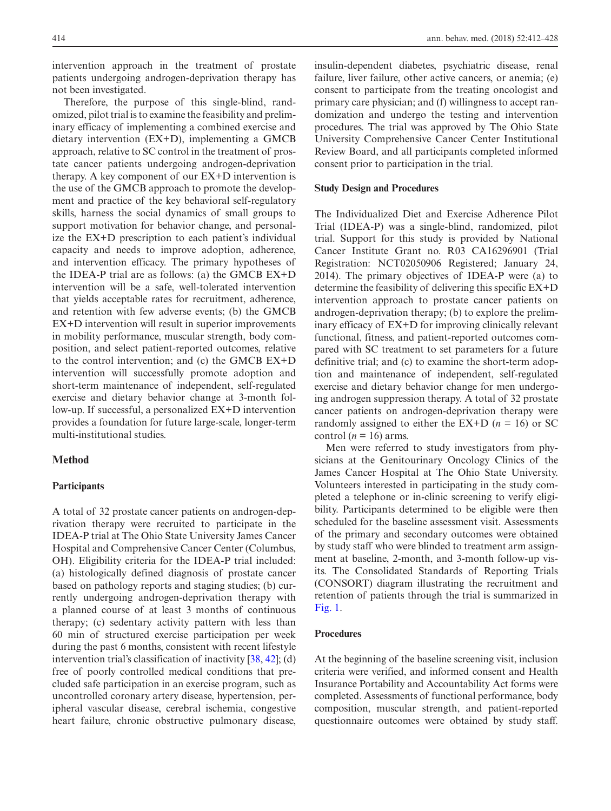intervention approach in the treatment of prostate patients undergoing androgen-deprivation therapy has not been investigated.

Therefore, the purpose of this single-blind, randomized, pilot trial is to examine the feasibility and preliminary efficacy of implementing a combined exercise and dietary intervention (EX+D), implementing a GMCB approach, relative to SC control in the treatment of prostate cancer patients undergoing androgen-deprivation therapy. A key component of our EX+D intervention is the use of the GMCB approach to promote the development and practice of the key behavioral self-regulatory skills, harness the social dynamics of small groups to support motivation for behavior change, and personalize the EX+D prescription to each patient's individual capacity and needs to improve adoption, adherence, and intervention efficacy. The primary hypotheses of the IDEA-P trial are as follows: (a) the GMCB EX+D intervention will be a safe, well-tolerated intervention that yields acceptable rates for recruitment, adherence, and retention with few adverse events; (b) the GMCB EX+D intervention will result in superior improvements in mobility performance, muscular strength, body composition, and select patient-reported outcomes, relative to the control intervention; and (c) the GMCB EX+D intervention will successfully promote adoption and short-term maintenance of independent, self-regulated exercise and dietary behavior change at 3-month follow-up. If successful, a personalized EX+D intervention provides a foundation for future large-scale, longer-term multi-institutional studies.

# **Method**

#### **Participants**

A total of 32 prostate cancer patients on androgen-deprivation therapy were recruited to participate in the IDEA-P trial at The Ohio State University James Cancer Hospital and Comprehensive Cancer Center (Columbus, OH). Eligibility criteria for the IDEA-P trial included: (a) histologically defined diagnosis of prostate cancer based on pathology reports and staging studies; (b) currently undergoing androgen-deprivation therapy with a planned course of at least 3 months of continuous therapy; (c) sedentary activity pattern with less than 60 min of structured exercise participation per week during the past 6 months, consistent with recent lifestyle intervention trial's classification of inactivity [[38,](#page-15-6) [42\]](#page-15-8); (d) free of poorly controlled medical conditions that precluded safe participation in an exercise program, such as uncontrolled coronary artery disease, hypertension, peripheral vascular disease, cerebral ischemia, congestive heart failure, chronic obstructive pulmonary disease,

insulin-dependent diabetes, psychiatric disease, renal failure, liver failure, other active cancers, or anemia; (e) consent to participate from the treating oncologist and primary care physician; and (f) willingness to accept randomization and undergo the testing and intervention procedures. The trial was approved by The Ohio State University Comprehensive Cancer Center Institutional Review Board, and all participants completed informed consent prior to participation in the trial.

#### **Study Design and Procedures**

The Individualized Diet and Exercise Adherence Pilot Trial (IDEA-P) was a single-blind, randomized, pilot trial. Support for this study is provided by National Cancer Institute Grant no. R03 CA16296901 (Trial Registration: NCT02050906 Registered; January 24, 2014). The primary objectives of IDEA-P were (a) to determine the feasibility of delivering this specific EX+D intervention approach to prostate cancer patients on androgen-deprivation therapy; (b) to explore the preliminary efficacy of EX+D for improving clinically relevant functional, fitness, and patient-reported outcomes compared with SC treatment to set parameters for a future definitive trial; and (c) to examine the short-term adoption and maintenance of independent, self-regulated exercise and dietary behavior change for men undergoing androgen suppression therapy. A total of 32 prostate cancer patients on androgen-deprivation therapy were randomly assigned to either the EX+D ( $n = 16$ ) or SC control ( $n = 16$ ) arms.

Men were referred to study investigators from physicians at the Genitourinary Oncology Clinics of the James Cancer Hospital at The Ohio State University. Volunteers interested in participating in the study completed a telephone or in-clinic screening to verify eligibility. Participants determined to be eligible were then scheduled for the baseline assessment visit. Assessments of the primary and secondary outcomes were obtained by study staff who were blinded to treatment arm assignment at baseline, 2-month, and 3-month follow-up visits. The Consolidated Standards of Reporting Trials (CONSORT) diagram illustrating the recruitment and retention of patients through the trial is summarized in [Fig. 1](#page-3-0).

#### **Procedures**

At the beginning of the baseline screening visit, inclusion criteria were verified, and informed consent and Health Insurance Portability and Accountability Act forms were completed. Assessments of functional performance, body composition, muscular strength, and patient-reported questionnaire outcomes were obtained by study staff.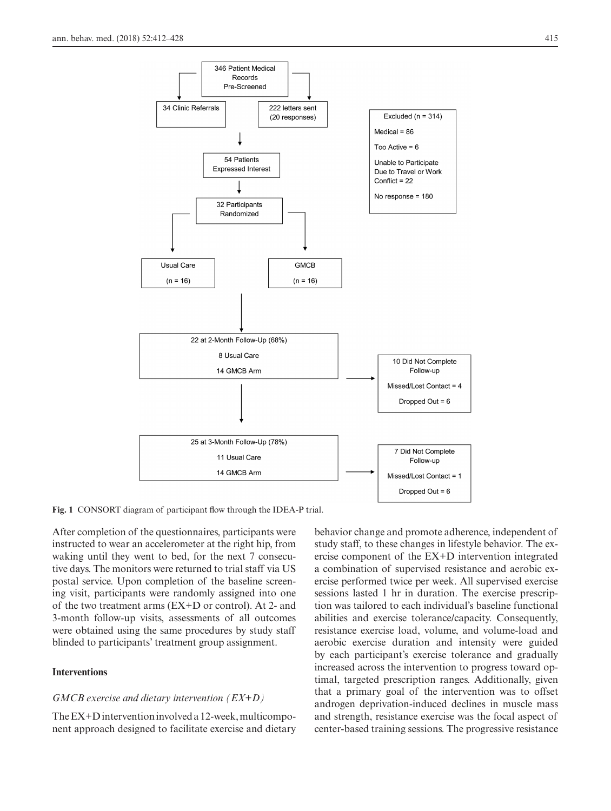

**Fig. 1** CONSORT diagram of participant flow through the IDEA-P trial.

After completion of the questionnaires, participants were instructed to wear an accelerometer at the right hip, from waking until they went to bed, for the next 7 consecutive days. The monitors were returned to trial staff via US postal service. Upon completion of the baseline screening visit, participants were randomly assigned into one of the two treatment arms (EX+D or control). At 2- and 3-month follow-up visits, assessments of all outcomes were obtained using the same procedures by study staff blinded to participants' treatment group assignment.

#### **Interventions**

#### *GMCB exercise and dietary intervention (EX+D)*

The EX+D intervention involved a 12-week, multicomponent approach designed to facilitate exercise and dietary

<span id="page-3-0"></span>behavior change and promote adherence, independent of study staff, to these changes in lifestyle behavior. The exercise component of the EX+D intervention integrated a combination of supervised resistance and aerobic exercise performed twice per week. All supervised exercise sessions lasted 1 hr in duration. The exercise prescription was tailored to each individual's baseline functional abilities and exercise tolerance/capacity. Consequently, resistance exercise load, volume, and volume-load and aerobic exercise duration and intensity were guided by each participant's exercise tolerance and gradually increased across the intervention to progress toward optimal, targeted prescription ranges. Additionally, given that a primary goal of the intervention was to offset androgen deprivation-induced declines in muscle mass and strength, resistance exercise was the focal aspect of center-based training sessions. The progressive resistance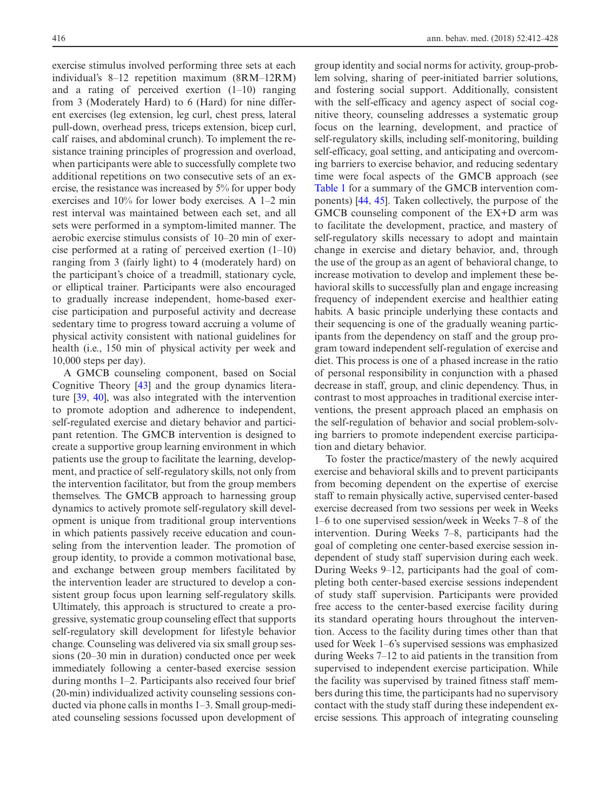exercise stimulus involved performing three sets at each individual's 8–12 repetition maximum (8RM–12RM) and a rating of perceived exertion  $(1-10)$  ranging from 3 (Moderately Hard) to 6 (Hard) for nine different exercises (leg extension, leg curl, chest press, lateral pull-down, overhead press, triceps extension, bicep curl, calf raises, and abdominal crunch). To implement the resistance training principles of progression and overload, when participants were able to successfully complete two additional repetitions on two consecutive sets of an exercise, the resistance was increased by 5% for upper body exercises and 10% for lower body exercises. A 1–2 min rest interval was maintained between each set, and all sets were performed in a symptom-limited manner. The aerobic exercise stimulus consists of 10–20 min of exercise performed at a rating of perceived exertion (1–10) ranging from 3 (fairly light) to 4 (moderately hard) on the participant's choice of a treadmill, stationary cycle, or elliptical trainer. Participants were also encouraged to gradually increase independent, home-based exercise participation and purposeful activity and decrease sedentary time to progress toward accruing a volume of physical activity consistent with national guidelines for health (i.e., 150 min of physical activity per week and 10,000 steps per day).

A GMCB counseling component, based on Social Cognitive Theory [\[43](#page-15-9)] and the group dynamics literature [\[39](#page-15-4), [40](#page-15-5)], was also integrated with the intervention to promote adoption and adherence to independent, self-regulated exercise and dietary behavior and participant retention. The GMCB intervention is designed to create a supportive group learning environment in which patients use the group to facilitate the learning, development, and practice of self-regulatory skills, not only from the intervention facilitator, but from the group members themselves. The GMCB approach to harnessing group dynamics to actively promote self-regulatory skill development is unique from traditional group interventions in which patients passively receive education and counseling from the intervention leader. The promotion of group identity, to provide a common motivational base, and exchange between group members facilitated by the intervention leader are structured to develop a consistent group focus upon learning self-regulatory skills. Ultimately, this approach is structured to create a progressive, systematic group counseling effect that supports self-regulatory skill development for lifestyle behavior change. Counseling was delivered via six small group sessions (20–30 min in duration) conducted once per week immediately following a center-based exercise session during months 1–2. Participants also received four brief (20-min) individualized activity counseling sessions conducted via phone calls in months 1–3. Small group-mediated counseling sessions focussed upon development of

group identity and social norms for activity, group-problem solving, sharing of peer-initiated barrier solutions, and fostering social support. Additionally, consistent with the self-efficacy and agency aspect of social cognitive theory, counseling addresses a systematic group focus on the learning, development, and practice of self-regulatory skills, including self-monitoring, building self-efficacy, goal setting, and anticipating and overcoming barriers to exercise behavior, and reducing sedentary time were focal aspects of the GMCB approach (see [Table 1](#page-5-0) for a summary of the GMCB intervention components) [\[44](#page-15-10), [45](#page-15-11)]. Taken collectively, the purpose of the GMCB counseling component of the EX+D arm was to facilitate the development, practice, and mastery of self-regulatory skills necessary to adopt and maintain change in exercise and dietary behavior, and, through the use of the group as an agent of behavioral change, to increase motivation to develop and implement these behavioral skills to successfully plan and engage increasing frequency of independent exercise and healthier eating habits. A basic principle underlying these contacts and their sequencing is one of the gradually weaning participants from the dependency on staff and the group program toward independent self-regulation of exercise and diet. This process is one of a phased increase in the ratio of personal responsibility in conjunction with a phased decrease in staff, group, and clinic dependency. Thus, in contrast to most approaches in traditional exercise interventions, the present approach placed an emphasis on the self-regulation of behavior and social problem-solving barriers to promote independent exercise participation and dietary behavior.

To foster the practice/mastery of the newly acquired exercise and behavioral skills and to prevent participants from becoming dependent on the expertise of exercise staff to remain physically active, supervised center-based exercise decreased from two sessions per week in Weeks 1–6 to one supervised session/week in Weeks 7–8 of the intervention. During Weeks 7–8, participants had the goal of completing one center-based exercise session independent of study staff supervision during each week. During Weeks 9–12, participants had the goal of completing both center-based exercise sessions independent of study staff supervision. Participants were provided free access to the center-based exercise facility during its standard operating hours throughout the intervention. Access to the facility during times other than that used for Week 1–6's supervised sessions was emphasized during Weeks 7–12 to aid patients in the transition from supervised to independent exercise participation. While the facility was supervised by trained fitness staff members during this time, the participants had no supervisory contact with the study staff during these independent exercise sessions. This approach of integrating counseling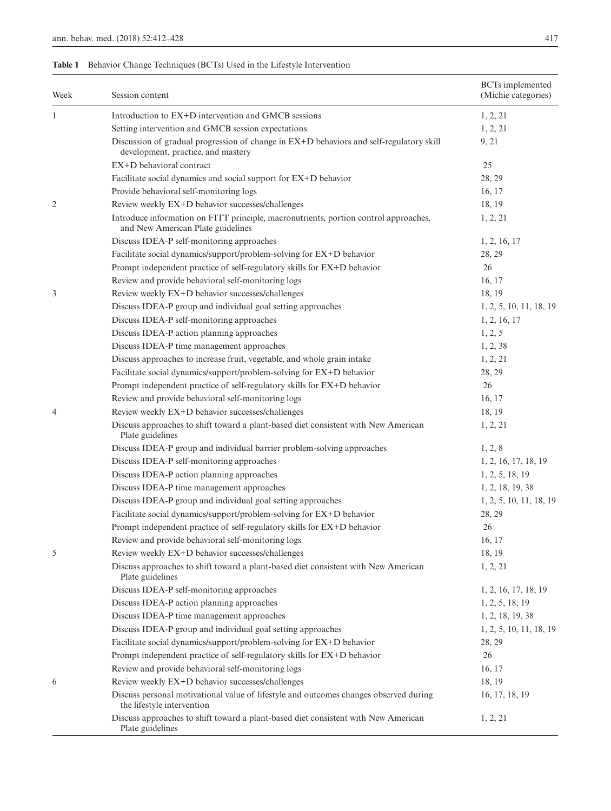# <span id="page-5-0"></span>**Table 1** Behavior Change Techniques (BCTs) Used in the Lifestyle Intervention

| Week | Session content                                                                                                               | <b>BCTs</b> implemented<br>(Michie categories) |
|------|-------------------------------------------------------------------------------------------------------------------------------|------------------------------------------------|
| 1    | Introduction to EX+D intervention and GMCB sessions                                                                           | 1, 2, 21                                       |
|      | Setting intervention and GMCB session expectations                                                                            | 1, 2, 21                                       |
|      | Discussion of gradual progression of change in EX+D behaviors and self-regulatory skill<br>development, practice, and mastery | 9, 21                                          |
|      | EX+D behavioral contract                                                                                                      | 25                                             |
|      | Facilitate social dynamics and social support for EX+D behavior                                                               | 28, 29                                         |
|      | Provide behavioral self-monitoring logs                                                                                       | 16, 17                                         |
| 2    | Review weekly EX+D behavior successes/challenges                                                                              | 18, 19                                         |
|      | Introduce information on FITT principle, macronutrients, portion control approaches,<br>and New American Plate guidelines     | 1, 2, 21                                       |
|      | Discuss IDEA-P self-monitoring approaches                                                                                     | 1, 2, 16, 17                                   |
|      | Facilitate social dynamics/support/problem-solving for EX+D behavior                                                          | 28, 29                                         |
|      | Prompt independent practice of self-regulatory skills for EX+D behavior                                                       | 26                                             |
|      | Review and provide behavioral self-monitoring logs                                                                            | 16, 17                                         |
| 3    | Review weekly EX+D behavior successes/challenges                                                                              | 18, 19                                         |
|      | Discuss IDEA-P group and individual goal setting approaches                                                                   | 1, 2, 5, 10, 11, 18, 19                        |
|      | Discuss IDEA-P self-monitoring approaches                                                                                     | 1, 2, 16, 17                                   |
|      | Discuss IDEA-P action planning approaches                                                                                     | 1, 2, 5                                        |
|      | Discuss IDEA-P time management approaches                                                                                     | 1, 2, 38                                       |
|      | Discuss approaches to increase fruit, vegetable, and whole grain intake                                                       | 1, 2, 21                                       |
|      | Facilitate social dynamics/support/problem-solving for EX+D behavior                                                          | 28, 29                                         |
|      | Prompt independent practice of self-regulatory skills for EX+D behavior                                                       | 26                                             |
|      | Review and provide behavioral self-monitoring logs                                                                            | 16, 17                                         |
| 4    | Review weekly EX+D behavior successes/challenges                                                                              | 18, 19                                         |
|      | Discuss approaches to shift toward a plant-based diet consistent with New American<br>Plate guidelines                        | 1, 2, 21                                       |
|      | Discuss IDEA-P group and individual barrier problem-solving approaches                                                        | 1, 2, 8                                        |
|      | Discuss IDEA-P self-monitoring approaches                                                                                     | 1, 2, 16, 17, 18, 19                           |
|      | Discuss IDEA-P action planning approaches                                                                                     | 1, 2, 5, 18, 19                                |
|      | Discuss IDEA-P time management approaches                                                                                     | 1, 2, 18, 19, 38                               |
|      | Discuss IDEA-P group and individual goal setting approaches                                                                   | 1, 2, 5, 10, 11, 18, 19                        |
|      | Facilitate social dynamics/support/problem-solving for EX+D behavior                                                          | 28, 29                                         |
|      | Prompt independent practice of self-regulatory skills for EX+D behavior                                                       | 26                                             |
|      | Review and provide behavioral self-monitoring logs                                                                            | 16, 17                                         |
| 5    | Review weekly EX+D behavior successes/challenges                                                                              | 18, 19                                         |
|      | Discuss approaches to shift toward a plant-based diet consistent with New American<br>Plate guidelines                        | 1, 2, 21                                       |
|      | Discuss IDEA-P self-monitoring approaches                                                                                     | 1, 2, 16, 17, 18, 19                           |
|      | Discuss IDEA-P action planning approaches                                                                                     | 1, 2, 5, 18, 19                                |
|      | Discuss IDEA-P time management approaches                                                                                     | 1, 2, 18, 19, 38                               |
|      | Discuss IDEA-P group and individual goal setting approaches                                                                   | 1, 2, 5, 10, 11, 18, 19                        |
|      | Facilitate social dynamics/support/problem-solving for EX+D behavior                                                          | 28, 29                                         |
|      | Prompt independent practice of self-regulatory skills for EX+D behavior                                                       | 26                                             |
|      | Review and provide behavioral self-monitoring logs                                                                            | 16, 17                                         |
| 6    | Review weekly EX+D behavior successes/challenges                                                                              | 18, 19                                         |
|      | Discuss personal motivational value of lifestyle and outcomes changes observed during<br>the lifestyle intervention           | 16, 17, 18, 19                                 |
|      | Discuss approaches to shift toward a plant-based diet consistent with New American<br>Plate guidelines                        | 1, 2, 21                                       |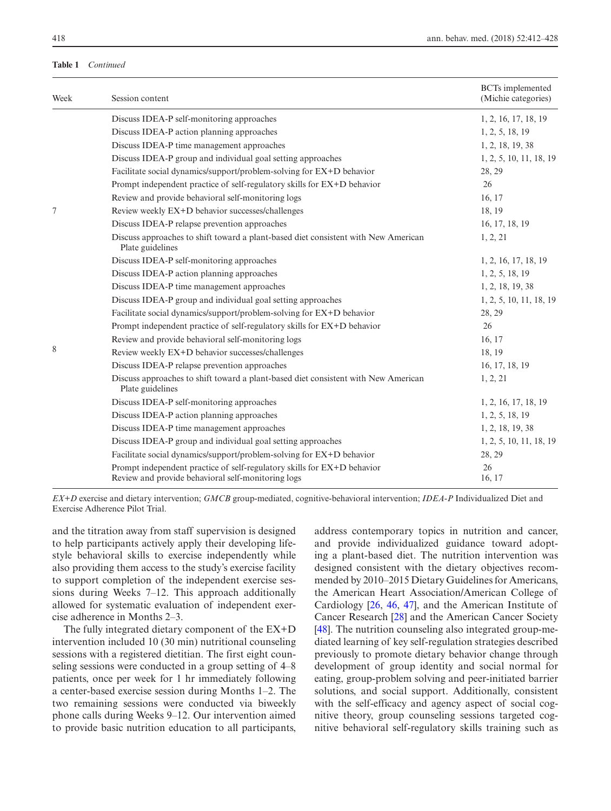#### **Table 1** *Continued*

| Week   | Session content                                                                                                               | <b>BCTs</b> implemented<br>(Michie categories) |  |  |
|--------|-------------------------------------------------------------------------------------------------------------------------------|------------------------------------------------|--|--|
|        | Discuss IDEA-P self-monitoring approaches                                                                                     | 1, 2, 16, 17, 18, 19                           |  |  |
|        | Discuss IDEA-P action planning approaches                                                                                     | 1, 2, 5, 18, 19                                |  |  |
|        | Discuss IDEA-P time management approaches                                                                                     | 1, 2, 18, 19, 38                               |  |  |
|        | Discuss IDEA-P group and individual goal setting approaches                                                                   | 1, 2, 5, 10, 11, 18, 19                        |  |  |
|        | Facilitate social dynamics/support/problem-solving for EX+D behavior                                                          | 28, 29                                         |  |  |
|        | Prompt independent practice of self-regulatory skills for EX+D behavior                                                       | 26                                             |  |  |
|        | Review and provide behavioral self-monitoring logs                                                                            | 16, 17                                         |  |  |
| 7<br>8 | Review weekly EX+D behavior successes/challenges                                                                              | 18, 19                                         |  |  |
|        | Discuss IDEA-P relapse prevention approaches                                                                                  | 16, 17, 18, 19                                 |  |  |
|        | Discuss approaches to shift toward a plant-based diet consistent with New American<br>Plate guidelines                        | 1, 2, 21                                       |  |  |
|        | Discuss IDEA-P self-monitoring approaches                                                                                     | 1, 2, 16, 17, 18, 19                           |  |  |
|        | Discuss IDEA-P action planning approaches                                                                                     | 1, 2, 5, 18, 19                                |  |  |
|        | Discuss IDEA-P time management approaches                                                                                     | 1, 2, 18, 19, 38                               |  |  |
|        | Discuss IDEA-P group and individual goal setting approaches                                                                   | 1, 2, 5, 10, 11, 18, 19                        |  |  |
|        | Facilitate social dynamics/support/problem-solving for EX+D behavior                                                          | 28, 29                                         |  |  |
|        | Prompt independent practice of self-regulatory skills for EX+D behavior                                                       | 26                                             |  |  |
|        | Review and provide behavioral self-monitoring logs                                                                            | 16, 17                                         |  |  |
|        | Review weekly EX+D behavior successes/challenges                                                                              | 18, 19                                         |  |  |
|        | Discuss IDEA-P relapse prevention approaches                                                                                  | 16, 17, 18, 19                                 |  |  |
|        | Discuss approaches to shift toward a plant-based diet consistent with New American<br>Plate guidelines                        | 1, 2, 21                                       |  |  |
|        | Discuss IDEA-P self-monitoring approaches                                                                                     | 1, 2, 16, 17, 18, 19                           |  |  |
|        | Discuss IDEA-P action planning approaches                                                                                     | 1, 2, 5, 18, 19                                |  |  |
|        | Discuss IDEA-P time management approaches                                                                                     | 1, 2, 18, 19, 38                               |  |  |
|        | Discuss IDEA-P group and individual goal setting approaches                                                                   | 1, 2, 5, 10, 11, 18, 19                        |  |  |
|        | Facilitate social dynamics/support/problem-solving for EX+D behavior                                                          | 28, 29                                         |  |  |
|        | Prompt independent practice of self-regulatory skills for EX+D behavior<br>Review and provide behavioral self-monitoring logs | 26<br>16, 17                                   |  |  |

*EX+D* exercise and dietary intervention; *GMCB* group-mediated, cognitive-behavioral intervention; *IDEA-P* Individualized Diet and Exercise Adherence Pilot Trial.

and the titration away from staff supervision is designed to help participants actively apply their developing lifestyle behavioral skills to exercise independently while also providing them access to the study's exercise facility to support completion of the independent exercise sessions during Weeks 7–12. This approach additionally allowed for systematic evaluation of independent exercise adherence in Months 2–3.

The fully integrated dietary component of the EX+D intervention included 10 (30 min) nutritional counseling sessions with a registered dietitian. The first eight counseling sessions were conducted in a group setting of 4–8 patients, once per week for 1 hr immediately following a center-based exercise session during Months 1–2. The two remaining sessions were conducted via biweekly phone calls during Weeks 9–12. Our intervention aimed to provide basic nutrition education to all participants,

address contemporary topics in nutrition and cancer, and provide individualized guidance toward adopting a plant-based diet. The nutrition intervention was designed consistent with the dietary objectives recommended by 2010–2015 Dietary Guidelines for Americans, the American Heart Association/American College of Cardiology [[26,](#page-14-12) [46](#page-15-12), [47\]](#page-15-13), and the American Institute of Cancer Research [\[28](#page-14-8)] and the American Cancer Society [\[48](#page-15-14)]. The nutrition counseling also integrated group-mediated learning of key self-regulation strategies described previously to promote dietary behavior change through development of group identity and social normal for eating, group-problem solving and peer-initiated barrier solutions, and social support. Additionally, consistent with the self-efficacy and agency aspect of social cognitive theory, group counseling sessions targeted cognitive behavioral self-regulatory skills training such as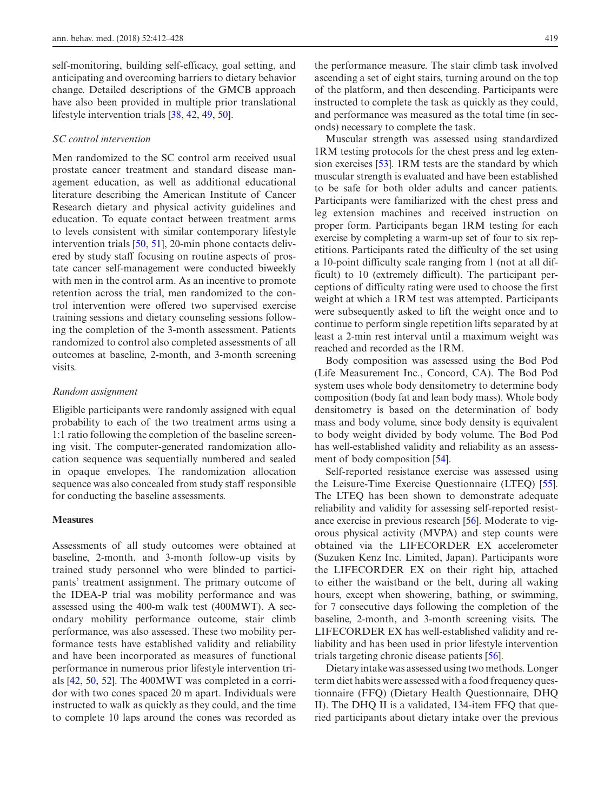self-monitoring, building self-efficacy, goal setting, and anticipating and overcoming barriers to dietary behavior change. Detailed descriptions of the GMCB approach have also been provided in multiple prior translational lifestyle intervention trials [[38,](#page-15-6) [42,](#page-15-8) [49](#page-15-15), [50](#page-15-16)].

#### *SC control intervention*

Men randomized to the SC control arm received usual prostate cancer treatment and standard disease management education, as well as additional educational literature describing the American Institute of Cancer Research dietary and physical activity guidelines and education. To equate contact between treatment arms to levels consistent with similar contemporary lifestyle intervention trials [\[50](#page-15-16), [51](#page-15-17)], 20-min phone contacts delivered by study staff focusing on routine aspects of prostate cancer self-management were conducted biweekly with men in the control arm. As an incentive to promote retention across the trial, men randomized to the control intervention were offered two supervised exercise training sessions and dietary counseling sessions following the completion of the 3-month assessment. Patients randomized to control also completed assessments of all outcomes at baseline, 2-month, and 3-month screening visits.

## *Random assignment*

Eligible participants were randomly assigned with equal probability to each of the two treatment arms using a 1:1 ratio following the completion of the baseline screening visit. The computer-generated randomization allocation sequence was sequentially numbered and sealed in opaque envelopes. The randomization allocation sequence was also concealed from study staff responsible for conducting the baseline assessments.

#### **Measures**

Assessments of all study outcomes were obtained at baseline, 2-month, and 3-month follow-up visits by trained study personnel who were blinded to participants' treatment assignment. The primary outcome of the IDEA-P trial was mobility performance and was assessed using the 400-m walk test (400MWT). A secondary mobility performance outcome, stair climb performance, was also assessed. These two mobility performance tests have established validity and reliability and have been incorporated as measures of functional performance in numerous prior lifestyle intervention trials [\[42](#page-15-8), [50,](#page-15-16) [52](#page-15-18)]. The 400MWT was completed in a corridor with two cones spaced 20 m apart. Individuals were instructed to walk as quickly as they could, and the time to complete 10 laps around the cones was recorded as

the performance measure. The stair climb task involved ascending a set of eight stairs, turning around on the top of the platform, and then descending. Participants were instructed to complete the task as quickly as they could, and performance was measured as the total time (in seconds) necessary to complete the task.

Muscular strength was assessed using standardized 1RM testing protocols for the chest press and leg extension exercises [[53\]](#page-15-19). 1RM tests are the standard by which muscular strength is evaluated and have been established to be safe for both older adults and cancer patients. Participants were familiarized with the chest press and leg extension machines and received instruction on proper form. Participants began 1RM testing for each exercise by completing a warm-up set of four to six repetitions. Participants rated the difficulty of the set using a 10-point difficulty scale ranging from 1 (not at all difficult) to 10 (extremely difficult). The participant perceptions of difficulty rating were used to choose the first weight at which a 1RM test was attempted. Participants were subsequently asked to lift the weight once and to continue to perform single repetition lifts separated by at least a 2-min rest interval until a maximum weight was reached and recorded as the 1RM.

Body composition was assessed using the Bod Pod (Life Measurement Inc., Concord, CA). The Bod Pod system uses whole body densitometry to determine body composition (body fat and lean body mass). Whole body densitometry is based on the determination of body mass and body volume, since body density is equivalent to body weight divided by body volume. The Bod Pod has well-established validity and reliability as an assessment of body composition [[54\]](#page-15-20).

Self-reported resistance exercise was assessed using the Leisure-Time Exercise Questionnaire (LTEQ) [[55\]](#page-15-21). The LTEQ has been shown to demonstrate adequate reliability and validity for assessing self-reported resistance exercise in previous research [\[56](#page-15-22)]. Moderate to vigorous physical activity (MVPA) and step counts were obtained via the LIFECORDER EX accelerometer (Suzuken Kenz Inc. Limited, Japan). Participants wore the LIFECORDER EX on their right hip, attached to either the waistband or the belt, during all waking hours, except when showering, bathing, or swimming, for 7 consecutive days following the completion of the baseline, 2-month, and 3-month screening visits. The LIFECORDER EX has well-established validity and reliability and has been used in prior lifestyle intervention trials targeting chronic disease patients [[56\]](#page-15-22).

Dietary intake was assessed using two methods. Longer term diet habits were assessed with a food frequency questionnaire (FFQ) (Dietary Health Questionnaire, DHQ II). The DHQ II is a validated, 134-item FFQ that queried participants about dietary intake over the previous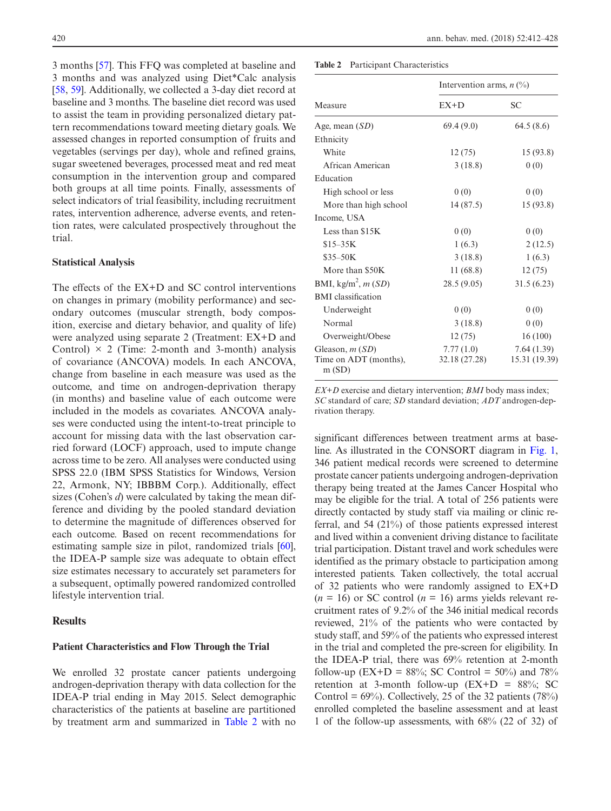3 months [\[57](#page-15-23)]. This FFQ was completed at baseline and 3 months and was analyzed using Diet\*Calc analysis [[58,](#page-15-24) [59\]](#page-15-25). Additionally, we collected a 3-day diet record at baseline and 3 months. The baseline diet record was used to assist the team in providing personalized dietary pattern recommendations toward meeting dietary goals. We assessed changes in reported consumption of fruits and vegetables (servings per day), whole and refined grains, sugar sweetened beverages, processed meat and red meat consumption in the intervention group and compared both groups at all time points. Finally, assessments of select indicators of trial feasibility, including recruitment rates, intervention adherence, adverse events, and retention rates, were calculated prospectively throughout the trial.

#### **Statistical Analysis**

The effects of the EX+D and SC control interventions on changes in primary (mobility performance) and secondary outcomes (muscular strength, body composition, exercise and dietary behavior, and quality of life) were analyzed using separate 2 (Treatment: EX+D and Control)  $\times$  2 (Time: 2-month and 3-month) analysis of covariance (ANCOVA) models. In each ANCOVA, change from baseline in each measure was used as the outcome, and time on androgen-deprivation therapy (in months) and baseline value of each outcome were included in the models as covariates. ANCOVA analyses were conducted using the intent-to-treat principle to account for missing data with the last observation carried forward (LOCF) approach, used to impute change across time to be zero. All analyses were conducted using SPSS 22.0 (IBM SPSS Statistics for Windows, Version 22, Armonk, NY; IBBBM Corp.). Additionally, effect sizes (Cohen's *d*) were calculated by taking the mean difference and dividing by the pooled standard deviation to determine the magnitude of differences observed for each outcome. Based on recent recommendations for estimating sample size in pilot, randomized trials [\[60](#page-15-26)], the IDEA-P sample size was adequate to obtain effect size estimates necessary to accurately set parameters for a subsequent, optimally powered randomized controlled lifestyle intervention trial.

## **Results**

### **Patient Characteristics and Flow Through the Trial**

We enrolled 32 prostate cancer patients undergoing androgen-deprivation therapy with data collection for the IDEA-P trial ending in May 2015. Select demographic characteristics of the patients at baseline are partitioned by treatment arm and summarized in Table 2 with no

#### <span id="page-8-0"></span>**Table 2** Participant Characteristics

|                                | Intervention arms, $n \binom{0}{0}$ |               |  |  |
|--------------------------------|-------------------------------------|---------------|--|--|
| Measure                        | $EX+D$                              | SC            |  |  |
| Age, mean $(SD)$               | 69.4(9.0)                           | 64.5(8.6)     |  |  |
| Ethnicity                      |                                     |               |  |  |
| White                          | 12(75)                              | 15(93.8)      |  |  |
| African American               | 3(18.8)                             | 0(0)          |  |  |
| Education                      |                                     |               |  |  |
| High school or less            | 0(0)                                | 0(0)          |  |  |
| More than high school          | 14 (87.5)                           | 15(93.8)      |  |  |
| Income, USA                    |                                     |               |  |  |
| Less than \$15K                | 0(0)                                | 0(0)          |  |  |
| $$15 - 35K$                    | 1(6.3)                              | 2(12.5)       |  |  |
| $$35 - 50K$                    | 3(18.8)                             | 1(6.3)        |  |  |
| More than \$50K                | 11(68.8)                            | 12(75)        |  |  |
| BMI, $kg/m^2$ , m (SD)         | 28.5(9.05)                          | 31.5(6.23)    |  |  |
| <b>BMI</b> classification      |                                     |               |  |  |
| Underweight                    | 0(0)                                | 0(0)          |  |  |
| Normal                         | 3(18.8)                             | 0(0)          |  |  |
| Overweight/Obese               | 12(75)                              | 16(100)       |  |  |
| Gleason, m (SD)                | 7.77(1.0)                           | 7.64(1.39)    |  |  |
| Time on ADT (months),<br>m(SD) | 32.18 (27.28)                       | 15.31 (19.39) |  |  |

*EX+D* exercise and dietary intervention; *BMI* body mass index; *SC* standard of care; *SD* standard deviation; *ADT* androgen-deprivation therapy.

significant differences between treatment arms at baseline. As illustrated in the CONSORT diagram in [Fig. 1,](#page-3-0) 346 patient medical records were screened to determine prostate cancer patients undergoing androgen-deprivation therapy being treated at the James Cancer Hospital who may be eligible for the trial. A total of 256 patients were directly contacted by study staff via mailing or clinic referral, and 54 (21%) of those patients expressed interest and lived within a convenient driving distance to facilitate trial participation. Distant travel and work schedules were identified as the primary obstacle to participation among interested patients. Taken collectively, the total accrual of 32 patients who were randomly assigned to EX+D  $(n = 16)$  or SC control  $(n = 16)$  arms yields relevant recruitment rates of 9.2% of the 346 initial medical records reviewed, 21% of the patients who were contacted by study staff, and 59% of the patients who expressed interest in the trial and completed the pre-screen for eligibility. In the IDEA-P trial, there was 69% retention at 2-month follow-up (EX+D =  $88\%$ ; SC Control =  $50\%$ ) and 78% retention at 3-month follow-up  $(EX+D = 88\%;$  SC Control =  $69\%$ ). Collectively, 25 of the 32 patients (78%) enrolled completed the baseline assessment and at least 1 of the follow-up assessments, with 68% (22 of 32) of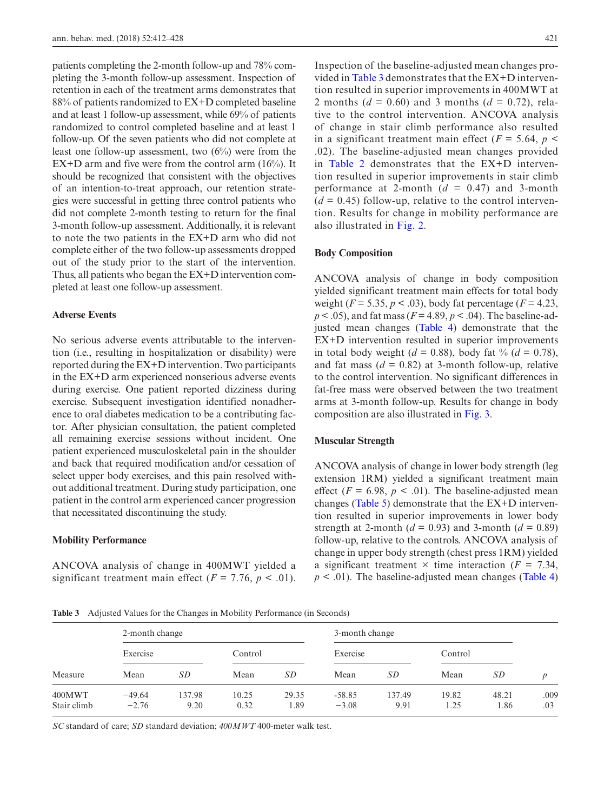patients completing the 2-month follow-up and 78% completing the 3-month follow-up assessment. Inspection of retention in each of the treatment arms demonstrates that 88% of patients randomized to EX+D completed baseline and at least 1 follow-up assessment, while 69% of patients randomized to control completed baseline and at least 1 follow-up. Of the seven patients who did not complete at least one follow-up assessment, two  $(6%)$  were from the EX+D arm and five were from the control arm (16%). It should be recognized that consistent with the objectives of an intention-to-treat approach, our retention strategies were successful in getting three control patients who did not complete 2-month testing to return for the final 3-month follow-up assessment. Additionally, it is relevant to note the two patients in the EX+D arm who did not complete either of the two follow-up assessments dropped out of the study prior to the start of the intervention. Thus, all patients who began the EX+D intervention completed at least one follow-up assessment.

#### **Adverse Events**

No serious adverse events attributable to the intervention (i.e., resulting in hospitalization or disability) were reported during the EX+D intervention. Two participants in the EX+D arm experienced nonserious adverse events during exercise. One patient reported dizziness during exercise. Subsequent investigation identified nonadherence to oral diabetes medication to be a contributing factor. After physician consultation, the patient completed all remaining exercise sessions without incident. One patient experienced musculoskeletal pain in the shoulder and back that required modification and/or cessation of select upper body exercises, and this pain resolved without additional treatment. During study participation, one patient in the control arm experienced cancer progression that necessitated discontinuing the study.

#### **Mobility Performance**

ANCOVA analysis of change in 400MWT yielded a significant treatment main effect  $(F = 7.76, p < .01)$ .

Inspection of the baseline-adjusted mean changes provided in [Table 3](#page-9-0) demonstrates that the EX+D intervention resulted in superior improvements in 400MWT at 2 months ( $d = 0.60$ ) and 3 months ( $d = 0.72$ ), relative to the control intervention. ANCOVA analysis of change in stair climb performance also resulted in a significant treatment main effect ( $F = 5.64$ ,  $p <$ .02). The baseline-adjusted mean changes provided in Table 2 demonstrates that the  $EX+D$  intervention resulted in superior improvements in stair climb performance at 2-month  $(d = 0.47)$  and 3-month  $(d = 0.45)$  follow-up, relative to the control intervention. Results for change in mobility performance are also illustrated in [Fig. 2](#page-10-0).

#### **Body Composition**

ANCOVA analysis of change in body composition yielded significant treatment main effects for total body weight ( $F = 5.35$ ,  $p < .03$ ), body fat percentage ( $F = 4.23$ , *p* < .05), and fat mass (*F* = 4.89, *p* < .04). The baseline-adjusted mean changes [\(Table 4\)](#page-10-1) demonstrate that the EX+D intervention resulted in superior improvements in total body weight ( $d = 0.88$ ), body fat % ( $d = 0.78$ ), and fat mass  $(d = 0.82)$  at 3-month follow-up, relative to the control intervention. No significant differences in fat-free mass were observed between the two treatment arms at 3-month follow-up. Results for change in body composition are also illustrated in [Fig. 3](#page-10-2).

## **Muscular Strength**

ANCOVA analysis of change in lower body strength (leg extension 1RM) yielded a significant treatment main effect ( $F = 6.98$ ,  $p < .01$ ). The baseline-adjusted mean changes [\(Table 5](#page-11-0)) demonstrate that the EX+D intervention resulted in superior improvements in lower body strength at 2-month ( $d = 0.93$ ) and 3-month ( $d = 0.89$ ) follow-up, relative to the controls. ANCOVA analysis of change in upper body strength (chest press 1RM) yielded a significant treatment  $\times$  time interaction ( $F = 7.34$ ,  $p < .01$ ). The baseline-adjusted mean changes ([Table 4\)](#page-10-1)

<span id="page-9-0"></span>**Table 3** Adjusted Values for the Changes in Mobility Performance (in Seconds)

| Measure               | 2-month change      |                |               |               | 3-month change      |                |               |               |             |
|-----------------------|---------------------|----------------|---------------|---------------|---------------------|----------------|---------------|---------------|-------------|
|                       | Exercise            |                | Control       |               | Exercise            |                | Control       |               |             |
|                       | Mean                | <i>SD</i>      | Mean          | SD            | Mean                | <i>SD</i>      | Mean          | <i>SD</i>     |             |
| 400MWT<br>Stair climb | $-49.64$<br>$-2.76$ | 137.98<br>9.20 | 10.25<br>0.32 | 29.35<br>1.89 | $-58.85$<br>$-3.08$ | 137.49<br>9.91 | 19.82<br>1.25 | 48.21<br>1.86 | .009<br>.03 |

*SC* standard of care; *SD* standard deviation; *400MWT* 400-meter walk test.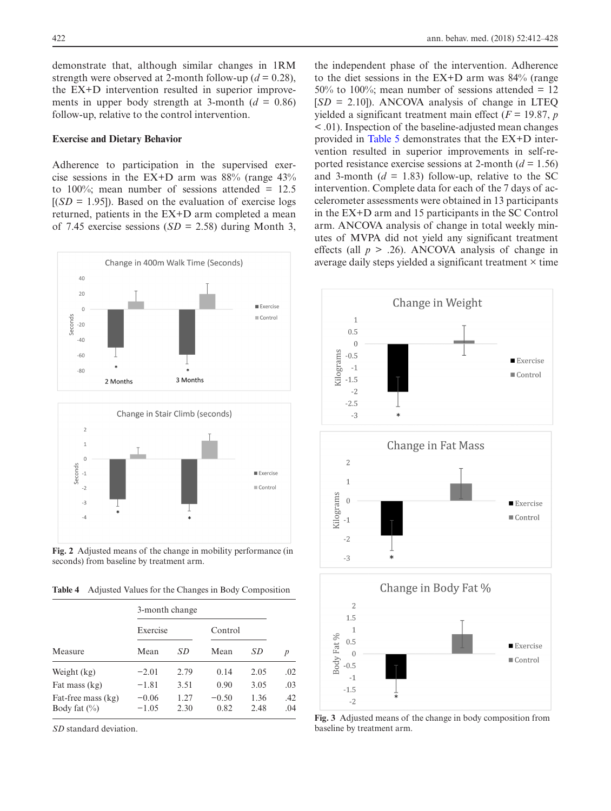demonstrate that, although similar changes in 1RM strength were observed at 2-month follow-up  $(d = 0.28)$ , the EX+D intervention resulted in superior improvements in upper body strength at 3-month  $(d = 0.86)$ follow-up, relative to the control intervention.

#### **Exercise and Dietary Behavior**

Adherence to participation in the supervised exercise sessions in the EX+D arm was 88% (range 43% to 100%; mean number of sessions attended  $= 12.5$  $[(SD = 1.95])$ . Based on the evaluation of exercise logs returned, patients in the EX+D arm completed a mean of 7.45 exercise sessions (*SD* = 2.58) during Month 3,



<span id="page-10-0"></span>**Fig. 2** Adjusted means of the change in mobility performance (in seconds) from baseline by treatment arm.

<span id="page-10-1"></span>**Table 4** Adjusted Values for the Changes in Body Composition

|                                        | 3-month change     |              |                 |              |                  |  |
|----------------------------------------|--------------------|--------------|-----------------|--------------|------------------|--|
|                                        | Exercise           |              | Control         |              |                  |  |
| Measure                                | Mean               | SD           | Mean            | SD           | $\boldsymbol{p}$ |  |
| Weight (kg)                            | $-2.01$            | 2.79         | 0.14            | 2.05         | .02              |  |
| Fat mass (kg)                          | $-1.81$            | 3.51         | 0.90            | 3.05         | .03              |  |
| Fat-free mass (kg)<br>Body fat $(\% )$ | $-0.06$<br>$-1.05$ | 1.27<br>2.30 | $-0.50$<br>0.82 | 1.36<br>2.48 | .42<br>.04       |  |

*SD* standard deviation.

the independent phase of the intervention. Adherence to the diet sessions in the EX+D arm was 84% (range 50% to 100%; mean number of sessions attended  $= 12$  $[SD = 2.10]$ ). ANCOVA analysis of change in LTEQ yielded a significant treatment main effect (*F* = 19.87, *p* < .01). Inspection of the baseline-adjusted mean changes provided in [Table 5](#page-11-0) demonstrates that the EX+D intervention resulted in superior improvements in self-reported resistance exercise sessions at 2-month (*d* = 1.56) and 3-month  $(d = 1.83)$  follow-up, relative to the SC intervention. Complete data for each of the 7 days of accelerometer assessments were obtained in 13 participants in the EX+D arm and 15 participants in the SC Control arm. ANCOVA analysis of change in total weekly minutes of MVPA did not yield any significant treatment effects (all  $p > .26$ ). ANCOVA analysis of change in average daily steps yielded a significant treatment  $\times$  time



<span id="page-10-2"></span>**Fig. 3** Adjusted means of the change in body composition from baseline by treatment arm.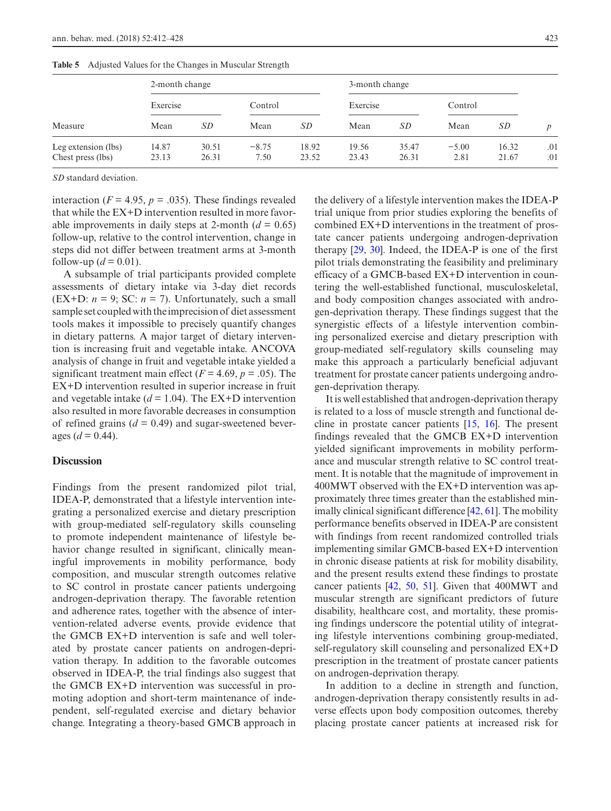|                                          | 2-month change |                |                 |                | 3-month change |                |                 |                |            |
|------------------------------------------|----------------|----------------|-----------------|----------------|----------------|----------------|-----------------|----------------|------------|
|                                          | Exercise       |                | Control         |                | Exercise       |                | Control         |                |            |
| Measure                                  | Mean           | SD             | Mean            | <i>SD</i>      | Mean           | <i>SD</i>      | Mean            | SD             |            |
| Leg extension (lbs)<br>Chest press (lbs) | 14.87<br>23.13 | 30.51<br>26.31 | $-8.75$<br>7.50 | 18.92<br>23.52 | 19.56<br>23.43 | 35.47<br>26.31 | $-5.00$<br>2.81 | 16.32<br>21.67 | .01<br>.01 |

<span id="page-11-0"></span>**Table 5** Adjusted Values for the Changes in Muscular Strength

*SD* standard deviation.

interaction ( $F = 4.95$ ,  $p = .035$ ). These findings revealed that while the EX+D intervention resulted in more favorable improvements in daily steps at 2-month  $(d = 0.65)$ follow-up, relative to the control intervention, change in steps did not differ between treatment arms at 3-month follow-up  $(d = 0.01)$ .

A subsample of trial participants provided complete assessments of dietary intake via 3-day diet records (EX+D:  $n = 9$ ; SC:  $n = 7$ ). Unfortunately, such a small sample set coupled with the imprecision of diet assessment tools makes it impossible to precisely quantify changes in dietary patterns. A major target of dietary intervention is increasing fruit and vegetable intake. ANCOVA analysis of change in fruit and vegetable intake yielded a significant treatment main effect ( $F = 4.69$ ,  $p = .05$ ). The EX+D intervention resulted in superior increase in fruit and vegetable intake  $(d = 1.04)$ . The EX+D intervention also resulted in more favorable decreases in consumption of refined grains  $(d = 0.49)$  and sugar-sweetened beverages ( $d = 0.44$ ).

#### **Discussion**

Findings from the present randomized pilot trial, IDEA-P, demonstrated that a lifestyle intervention integrating a personalized exercise and dietary prescription with group-mediated self-regulatory skills counseling to promote independent maintenance of lifestyle behavior change resulted in significant, clinically meaningful improvements in mobility performance, body composition, and muscular strength outcomes relative to SC control in prostate cancer patients undergoing androgen-deprivation therapy. The favorable retention and adherence rates, together with the absence of intervention-related adverse events, provide evidence that the GMCB EX+D intervention is safe and well tolerated by prostate cancer patients on androgen-deprivation therapy. In addition to the favorable outcomes observed in IDEA-P, the trial findings also suggest that the GMCB EX+D intervention was successful in promoting adoption and short-term maintenance of independent, self-regulated exercise and dietary behavior change. Integrating a theory-based GMCB approach in

the delivery of a lifestyle intervention makes the IDEA-P trial unique from prior studies exploring the benefits of

combined EX+D interventions in the treatment of prostate cancer patients undergoing androgen-deprivation therapy [[29,](#page-14-9) [30\]](#page-14-10). Indeed, the IDEA-P is one of the first pilot trials demonstrating the feasibility and preliminary efficacy of a GMCB-based EX+D intervention in countering the well-established functional, musculoskeletal, and body composition changes associated with androgen-deprivation therapy. These findings suggest that the synergistic effects of a lifestyle intervention combining personalized exercise and dietary prescription with group-mediated self-regulatory skills counseling may make this approach a particularly beneficial adjuvant treatment for prostate cancer patients undergoing androgen-deprivation therapy.

It is well established that androgen-deprivation therapy is related to a loss of muscle strength and functional decline in prostate cancer patients  $[15, 16]$  $[15, 16]$  $[15, 16]$  $[15, 16]$ . The present findings revealed that the GMCB EX+D intervention yielded significant improvements in mobility performance and muscular strength relative to SC control treatment. It is notable that the magnitude of improvement in 400MWT observed with the EX+D intervention was approximately three times greater than the established minimally clinical significant difference [\[42](#page-15-8), [61\]](#page-15-27). The mobility performance benefits observed in IDEA-P are consistent with findings from recent randomized controlled trials implementing similar GMCB-based EX+D intervention in chronic disease patients at risk for mobility disability, and the present results extend these findings to prostate cancer patients [[42,](#page-15-8) [50](#page-15-16), [51](#page-15-17)]. Given that 400MWT and muscular strength are significant predictors of future disability, healthcare cost, and mortality, these promising findings underscore the potential utility of integrating lifestyle interventions combining group-mediated, self-regulatory skill counseling and personalized EX+D prescription in the treatment of prostate cancer patients on androgen-deprivation therapy.

In addition to a decline in strength and function, androgen-deprivation therapy consistently results in adverse effects upon body composition outcomes, thereby placing prostate cancer patients at increased risk for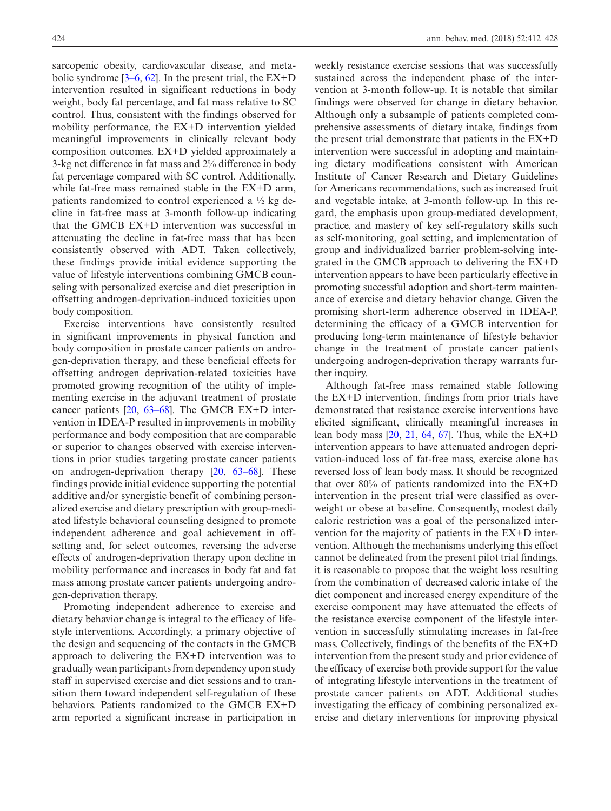sarcopenic obesity, cardiovascular disease, and metabolic syndrome  $[3-6, 62]$  $[3-6, 62]$ . In the present trial, the  $EX+D$ intervention resulted in significant reductions in body weight, body fat percentage, and fat mass relative to SC control. Thus, consistent with the findings observed for mobility performance, the EX+D intervention yielded meaningful improvements in clinically relevant body composition outcomes. EX+D yielded approximately a 3-kg net difference in fat mass and 2% difference in body fat percentage compared with SC control. Additionally, while fat-free mass remained stable in the EX+D arm, patients randomized to control experienced a ½ kg decline in fat-free mass at 3-month follow-up indicating that the GMCB EX+D intervention was successful in attenuating the decline in fat-free mass that has been consistently observed with ADT. Taken collectively, these findings provide initial evidence supporting the value of lifestyle interventions combining GMCB counseling with personalized exercise and diet prescription in offsetting androgen-deprivation-induced toxicities upon body composition.

Exercise interventions have consistently resulted in significant improvements in physical function and body composition in prostate cancer patients on androgen-deprivation therapy, and these beneficial effects for offsetting androgen deprivation-related toxicities have promoted growing recognition of the utility of implementing exercise in the adjuvant treatment of prostate cancer patients [\[20](#page-14-16), [63–68](#page-15-29)]. The GMCB EX+D intervention in IDEA-P resulted in improvements in mobility performance and body composition that are comparable or superior to changes observed with exercise interventions in prior studies targeting prostate cancer patients on androgen-deprivation therapy [[20,](#page-14-16) [63–68\]](#page-15-29). These findings provide initial evidence supporting the potential additive and/or synergistic benefit of combining personalized exercise and dietary prescription with group-mediated lifestyle behavioral counseling designed to promote independent adherence and goal achievement in offsetting and, for select outcomes, reversing the adverse effects of androgen-deprivation therapy upon decline in mobility performance and increases in body fat and fat mass among prostate cancer patients undergoing androgen-deprivation therapy.

Promoting independent adherence to exercise and dietary behavior change is integral to the efficacy of lifestyle interventions. Accordingly, a primary objective of the design and sequencing of the contacts in the GMCB approach to delivering the EX+D intervention was to gradually wean participants from dependency upon study staff in supervised exercise and diet sessions and to transition them toward independent self-regulation of these behaviors. Patients randomized to the GMCB EX+D arm reported a significant increase in participation in weekly resistance exercise sessions that was successfully sustained across the independent phase of the intervention at 3-month follow-up. It is notable that similar findings were observed for change in dietary behavior. Although only a subsample of patients completed comprehensive assessments of dietary intake, findings from the present trial demonstrate that patients in the EX+D intervention were successful in adopting and maintaining dietary modifications consistent with American Institute of Cancer Research and Dietary Guidelines for Americans recommendations, such as increased fruit and vegetable intake, at 3-month follow-up. In this regard, the emphasis upon group-mediated development, practice, and mastery of key self-regulatory skills such as self-monitoring, goal setting, and implementation of group and individualized barrier problem-solving integrated in the GMCB approach to delivering the EX+D intervention appears to have been particularly effective in promoting successful adoption and short-term maintenance of exercise and dietary behavior change. Given the promising short-term adherence observed in IDEA-P, determining the efficacy of a GMCB intervention for producing long-term maintenance of lifestyle behavior change in the treatment of prostate cancer patients undergoing androgen-deprivation therapy warrants further inquiry.

Although fat-free mass remained stable following the EX+D intervention, findings from prior trials have demonstrated that resistance exercise interventions have elicited significant, clinically meaningful increases in lean body mass  $[20, 21, 64, 67]$  $[20, 21, 64, 67]$  $[20, 21, 64, 67]$  $[20, 21, 64, 67]$  $[20, 21, 64, 67]$  $[20, 21, 64, 67]$  $[20, 21, 64, 67]$  $[20, 21, 64, 67]$ . Thus, while the  $EX+D$ intervention appears to have attenuated androgen deprivation-induced loss of fat-free mass, exercise alone has reversed loss of lean body mass. It should be recognized that over 80% of patients randomized into the EX+D intervention in the present trial were classified as overweight or obese at baseline. Consequently, modest daily caloric restriction was a goal of the personalized intervention for the majority of patients in the EX+D intervention. Although the mechanisms underlying this effect cannot be delineated from the present pilot trial findings, it is reasonable to propose that the weight loss resulting from the combination of decreased caloric intake of the diet component and increased energy expenditure of the exercise component may have attenuated the effects of the resistance exercise component of the lifestyle intervention in successfully stimulating increases in fat-free mass. Collectively, findings of the benefits of the EX+D intervention from the present study and prior evidence of the efficacy of exercise both provide support for the value of integrating lifestyle interventions in the treatment of prostate cancer patients on ADT. Additional studies investigating the efficacy of combining personalized exercise and dietary interventions for improving physical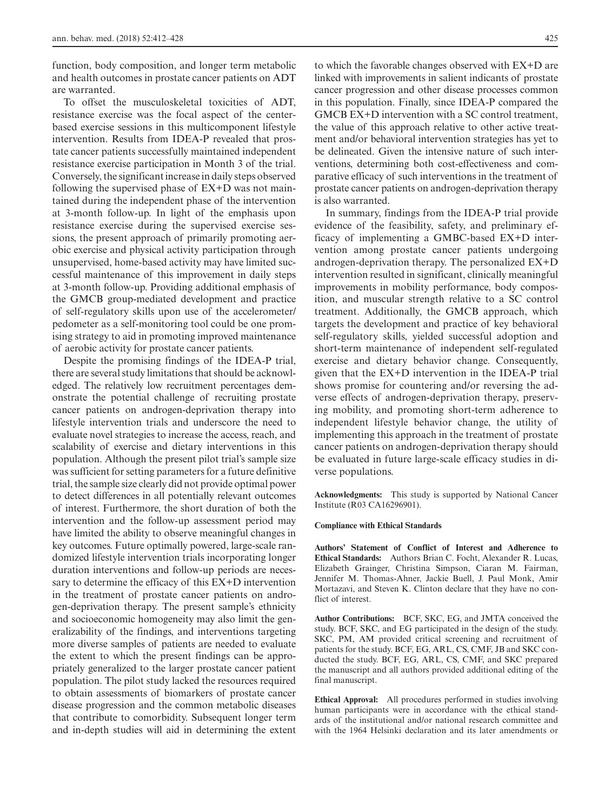function, body composition, and longer term metabolic and health outcomes in prostate cancer patients on ADT are warranted.

To offset the musculoskeletal toxicities of ADT, resistance exercise was the focal aspect of the centerbased exercise sessions in this multicomponent lifestyle intervention. Results from IDEA-P revealed that prostate cancer patients successfully maintained independent resistance exercise participation in Month 3 of the trial. Conversely, the significant increase in daily steps observed following the supervised phase of EX+D was not maintained during the independent phase of the intervention at 3-month follow-up. In light of the emphasis upon resistance exercise during the supervised exercise sessions, the present approach of primarily promoting aerobic exercise and physical activity participation through unsupervised, home-based activity may have limited successful maintenance of this improvement in daily steps at 3-month follow-up. Providing additional emphasis of the GMCB group-mediated development and practice of self-regulatory skills upon use of the accelerometer/ pedometer as a self-monitoring tool could be one promising strategy to aid in promoting improved maintenance of aerobic activity for prostate cancer patients.

Despite the promising findings of the IDEA-P trial, there are several study limitations that should be acknowledged. The relatively low recruitment percentages demonstrate the potential challenge of recruiting prostate cancer patients on androgen-deprivation therapy into lifestyle intervention trials and underscore the need to evaluate novel strategies to increase the access, reach, and scalability of exercise and dietary interventions in this population. Although the present pilot trial's sample size was sufficient for setting parameters for a future definitive trial, the sample size clearly did not provide optimal power to detect differences in all potentially relevant outcomes of interest. Furthermore, the short duration of both the intervention and the follow-up assessment period may have limited the ability to observe meaningful changes in key outcomes. Future optimally powered, large-scale randomized lifestyle intervention trials incorporating longer duration interventions and follow-up periods are necessary to determine the efficacy of this EX+D intervention in the treatment of prostate cancer patients on androgen-deprivation therapy. The present sample's ethnicity and socioeconomic homogeneity may also limit the generalizability of the findings, and interventions targeting more diverse samples of patients are needed to evaluate the extent to which the present findings can be appropriately generalized to the larger prostate cancer patient population. The pilot study lacked the resources required to obtain assessments of biomarkers of prostate cancer disease progression and the common metabolic diseases that contribute to comorbidity. Subsequent longer term and in-depth studies will aid in determining the extent

to which the favorable changes observed with EX+D are linked with improvements in salient indicants of prostate cancer progression and other disease processes common in this population. Finally, since IDEA-P compared the GMCB EX+D intervention with a SC control treatment, the value of this approach relative to other active treatment and/or behavioral intervention strategies has yet to be delineated. Given the intensive nature of such interventions, determining both cost-effectiveness and comparative efficacy of such interventions in the treatment of prostate cancer patients on androgen-deprivation therapy is also warranted.

In summary, findings from the IDEA-P trial provide evidence of the feasibility, safety, and preliminary efficacy of implementing a GMBC-based EX+D intervention among prostate cancer patients undergoing androgen-deprivation therapy. The personalized EX+D intervention resulted in significant, clinically meaningful improvements in mobility performance, body composition, and muscular strength relative to a SC control treatment. Additionally, the GMCB approach, which targets the development and practice of key behavioral self-regulatory skills, yielded successful adoption and short-term maintenance of independent self-regulated exercise and dietary behavior change. Consequently, given that the EX+D intervention in the IDEA-P trial shows promise for countering and/or reversing the adverse effects of androgen-deprivation therapy, preserving mobility, and promoting short-term adherence to independent lifestyle behavior change, the utility of implementing this approach in the treatment of prostate cancer patients on androgen-deprivation therapy should be evaluated in future large-scale efficacy studies in diverse populations.

**Acknowledgments:** This study is supported by National Cancer Institute (R03 CA16296901).

#### **Compliance with Ethical Standards**

**Authors' Statement of Conflict of Interest and Adherence to Ethical Standards:** Authors Brian C. Focht, Alexander R. Lucas, Elizabeth Grainger, Christina Simpson, Ciaran M. Fairman, Jennifer M. Thomas-Ahner, Jackie Buell, J. Paul Monk, Amir Mortazavi, and Steven K. Clinton declare that they have no conflict of interest.

**Author Contributions:** BCF, SKC, EG, and JMTA conceived the study. BCF, SKC, and EG participated in the design of the study. SKC, PM, AM provided critical screening and recruitment of patients for the study. BCF, EG, ARL, CS, CMF, JB and SKC conducted the study. BCF, EG, ARL, CS, CMF, and SKC prepared the manuscript and all authors provided additional editing of the final manuscript.

**Ethical Approval:** All procedures performed in studies involving human participants were in accordance with the ethical standards of the institutional and/or national research committee and with the 1964 Helsinki declaration and its later amendments or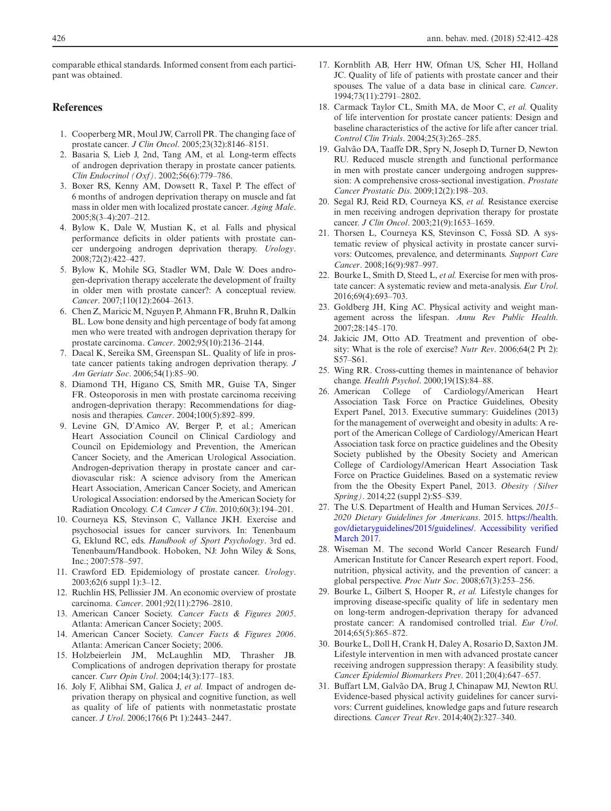comparable ethical standards. Informed consent from each participant was obtained.

### **References**

- <span id="page-14-0"></span>1. Cooperberg MR, Moul JW, Carroll PR. The changing face of prostate cancer. *J Clin Oncol*. 2005;23(32):8146–8151.
- <span id="page-14-1"></span>2. Basaria S, Lieb J, 2nd, Tang AM, et al*.* Long-term effects of androgen deprivation therapy in prostate cancer patients. *Clin Endocrinol (Oxf)*. 2002;56(6):779–786.
- <span id="page-14-15"></span>3. Boxer RS, Kenny AM, Dowsett R, Taxel P. The effect of 6 months of androgen deprivation therapy on muscle and fat mass in older men with localized prostate cancer. *Aging Male*. 2005;8(3–4):207–212.
- 4. Bylow K, Dale W, Mustian K, et al*.* Falls and physical performance deficits in older patients with prostate cancer undergoing androgen deprivation therapy. *Urology*. 2008;72(2):422–427.
- 5. Bylow K, Mohile SG, Stadler WM, Dale W. Does androgen-deprivation therapy accelerate the development of frailty in older men with prostate cancer?: A conceptual review. *Cancer*. 2007;110(12):2604–2613.
- <span id="page-14-3"></span>6. Chen Z, Maricic M, Nguyen P, Ahmann FR, Bruhn R, Dalkin BL. Low bone density and high percentage of body fat among men who were treated with androgen deprivation therapy for prostate carcinoma. *Cancer*. 2002;95(10):2136–2144.
- 7. Dacal K, Sereika SM, Greenspan SL. Quality of life in prostate cancer patients taking androgen deprivation therapy. *J Am Geriatr Soc*. 2006;54(1):85–90.
- 8. Diamond TH, Higano CS, Smith MR, Guise TA, Singer FR. Osteoporosis in men with prostate carcinoma receiving androgen-deprivation therapy: Recommendations for diagnosis and therapies. *Cancer*. 2004;100(5):892–899.
- <span id="page-14-2"></span>9. Levine GN, D'Amico AV, Berger P, et al*.*; American Heart Association Council on Clinical Cardiology and Council on Epidemiology and Prevention, the American Cancer Society, and the American Urological Association. Androgen-deprivation therapy in prostate cancer and cardiovascular risk: A science advisory from the American Heart Association, American Cancer Society, and American Urological Association: endorsed by the American Society for Radiation Oncology. *CA Cancer J Clin*. 2010;60(3):194–201.
- <span id="page-14-4"></span>10. Courneya KS, Stevinson C, Vallance JKH. Exercise and psychosocial issues for cancer survivors. In: Tenenbaum G, Eklund RC, eds. *Handbook of Sport Psychology*. 3rd ed. Tenenbaum/Handbook. Hoboken, NJ: John Wiley & Sons, Inc.; 2007:578–597.
- 11. Crawford ED. Epidemiology of prostate cancer. *Urology*. 2003;62(6 suppl 1):3–12.
- 12. Ruchlin HS, Pellissier JM. An economic overview of prostate carcinoma. *Cancer*. 2001;92(11):2796–2810.
- 13. American Cancer Society. *Cancer Facts & Figures 2005*. Atlanta: American Cancer Society; 2005.
- 14. American Cancer Society. *Cancer Facts & Figures 2006*. Atlanta: American Cancer Society; 2006.
- <span id="page-14-13"></span>15. Holzbeierlein JM, McLaughlin MD, Thrasher JB. Complications of androgen deprivation therapy for prostate cancer. *Curr Opin Urol*. 2004;14(3):177–183.
- <span id="page-14-14"></span>16. Joly F, Alibhai SM, Galica J, *et al.* Impact of androgen deprivation therapy on physical and cognitive function, as well as quality of life of patients with nonmetastatic prostate cancer. *J Urol*. 2006;176(6 Pt 1):2443–2447.
- 17. Kornblith AB, Herr HW, Ofman US, Scher HI, Holland JC. Quality of life of patients with prostate cancer and their spouses. The value of a data base in clinical care. *Cancer*. 1994;73(11):2791–2802.
- <span id="page-14-5"></span>18. Carmack Taylor CL, Smith MA, de Moor C, *et al.* Quality of life intervention for prostate cancer patients: Design and baseline characteristics of the active for life after cancer trial. *Control Clin Trials*. 2004;25(3):265–285.
- 19. Galvão DA, Taaffe DR, Spry N, Joseph D, Turner D, Newton RU. Reduced muscle strength and functional performance in men with prostate cancer undergoing androgen suppression: A comprehensive cross-sectional investigation. *Prostate Cancer Prostatic Dis*. 2009;12(2):198–203.
- <span id="page-14-16"></span>20. Segal RJ, Reid RD, Courneya KS, *et al.* Resistance exercise in men receiving androgen deprivation therapy for prostate cancer. *J Clin Oncol*. 2003;21(9):1653–1659.
- <span id="page-14-17"></span>21. Thorsen L, Courneya KS, Stevinson C, Fosså SD. A systematic review of physical activity in prostate cancer survivors: Outcomes, prevalence, and determinants. *Support Care Cancer*. 2008;16(9):987–997.
- 22. Bourke L, Smith D, Steed L, *et al.* Exercise for men with prostate cancer: A systematic review and meta-analysis. *Eur Urol*. 2016;69(4):693–703.
- <span id="page-14-6"></span>23. Goldberg JH, King AC. Physical activity and weight management across the lifespan. *Annu Rev Public Health*. 2007;28:145–170.
- 24. Jakicic JM, Otto AD. Treatment and prevention of obesity: What is the role of exercise? *Nutr Rev*. 2006;64(2 Pt 2): S57–S61.
- 25. Wing RR. Cross-cutting themes in maintenance of behavior change. *Health Psychol*. 2000;19(1S):84–88.
- <span id="page-14-12"></span>26. American College of Cardiology/American Heart Association Task Force on Practice Guidelines, Obesity Expert Panel, 2013. Executive summary: Guidelines (2013) for the management of overweight and obesity in adults: A report of the American College of Cardiology/American Heart Association task force on practice guidelines and the Obesity Society published by the Obesity Society and American College of Cardiology/American Heart Association Task Force on Practice Guidelines. Based on a systematic review from the the Obesity Expert Panel, 2013. *Obesity (Silver Spring)*. 2014;22 (suppl 2):S5–S39.
- <span id="page-14-7"></span>27. The U.S. Department of Health and Human Services. *2015– 2020 Dietary Guidelines for Americans*. 2015. [https://health.](https://health.gov/dietaryguidelines/2015/guidelines/. Accessibility verified March 2017.) [gov/dietaryguidelines/2015/guidelines/. Accessibility verified](https://health.gov/dietaryguidelines/2015/guidelines/. Accessibility verified March 2017.) [March 2017.](https://health.gov/dietaryguidelines/2015/guidelines/. Accessibility verified March 2017.)
- <span id="page-14-8"></span>28. Wiseman M. The second World Cancer Research Fund/ American Institute for Cancer Research expert report. Food, nutrition, physical activity, and the prevention of cancer: a global perspective. *Proc Nutr Soc*. 2008;67(3):253–256.
- <span id="page-14-9"></span>29. Bourke L, Gilbert S, Hooper R, *et al.* Lifestyle changes for improving disease-specific quality of life in sedentary men on long-term androgen-deprivation therapy for advanced prostate cancer: A randomised controlled trial. *Eur Urol*. 2014;65(5):865–872.
- <span id="page-14-10"></span>30. Bourke L, Doll H, Crank H, Daley A, Rosario D, Saxton JM. Lifestyle intervention in men with advanced prostate cancer receiving androgen suppression therapy: A feasibility study. *Cancer Epidemiol Biomarkers Prev*. 2011;20(4):647–657.
- <span id="page-14-11"></span>31. Buffart LM, Galvão DA, Brug J, Chinapaw MJ, Newton RU. Evidence-based physical activity guidelines for cancer survivors: Current guidelines, knowledge gaps and future research directions. *Cancer Treat Rev*. 2014;40(2):327–340.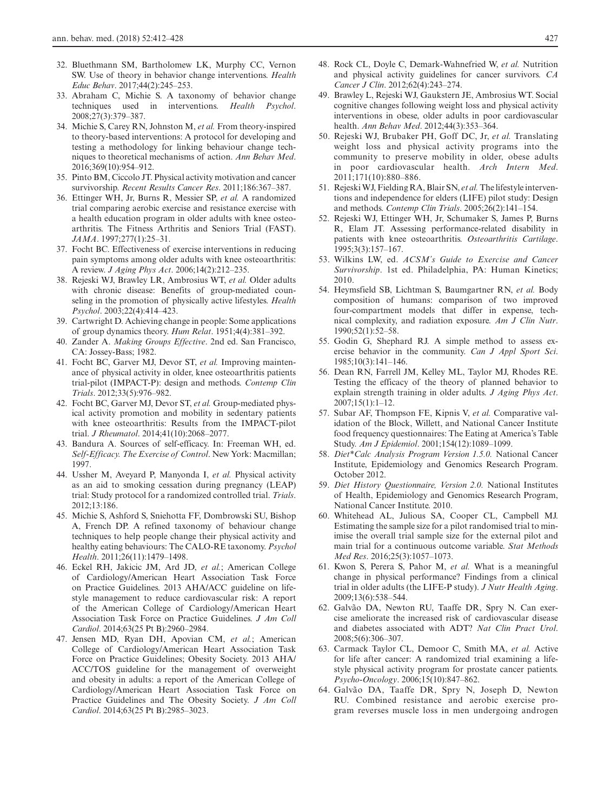- <span id="page-15-0"></span>32. Bluethmann SM, Bartholomew LK, Murphy CC, Vernon SW. Use of theory in behavior change interventions. *Health Educ Behav*. 2017;44(2):245–253.
- 33. Abraham C, Michie S. A taxonomy of behavior change techniques used in interventions. *Health Psychol*. 2008;27(3):379–387.
- <span id="page-15-3"></span>34. Michie S, Carey RN, Johnston M, *et al.* From theory-inspired to theory-based interventions: A protocol for developing and testing a methodology for linking behaviour change techniques to theoretical mechanisms of action. *Ann Behav Med*. 2016;369(10):954–912.
- <span id="page-15-1"></span>35. Pinto BM, Ciccolo JT. Physical activity motivation and cancer survivorship. *Recent Results Cancer Res*. 2011;186:367–387.
- <span id="page-15-2"></span>36. Ettinger WH, Jr, Burns R, Messier SP, *et al.* A randomized trial comparing aerobic exercise and resistance exercise with a health education program in older adults with knee osteoarthritis. The Fitness Arthritis and Seniors Trial (FAST). *JAMA*. 1997;277(1):25–31.
- 37. Focht BC. Effectiveness of exercise interventions in reducing pain symptoms among older adults with knee osteoarthritis: A review. *J Aging Phys Act*. 2006;14(2):212–235.
- <span id="page-15-6"></span>38. Rejeski WJ, Brawley LR, Ambrosius WT, *et al.* Older adults with chronic disease: Benefits of group-mediated counseling in the promotion of physically active lifestyles. *Health Psychol*. 2003;22(4):414–423.
- <span id="page-15-4"></span>39. Cartwright D. Achieving change in people: Some applications of group dynamics theory. *Hum Relat*. 1951;4(4):381–392.
- <span id="page-15-5"></span>40. Zander A. *Making Groups Effective*. 2nd ed. San Francisco, CA: Jossey-Bass; 1982.
- <span id="page-15-7"></span>41. Focht BC, Garver MJ, Devor ST, *et al.* Improving maintenance of physical activity in older, knee osteoarthritis patients trial-pilot (IMPACT-P): design and methods. *Contemp Clin Trials*. 2012;33(5):976–982.
- <span id="page-15-8"></span>42. Focht BC, Garver MJ, Devor ST, *et al.* Group-mediated physical activity promotion and mobility in sedentary patients with knee osteoarthritis: Results from the IMPACT-pilot trial. *J Rheumatol*. 2014;41(10):2068–2077.
- <span id="page-15-9"></span>43. Bandura A. Sources of self-efficacy. In: Freeman WH, ed. *Self-Efficacy. The Exercise of Control*. New York: Macmillan; 1997.
- <span id="page-15-10"></span>44. Ussher M, Aveyard P, Manyonda I, *et al.* Physical activity as an aid to smoking cessation during pregnancy (LEAP) trial: Study protocol for a randomized controlled trial. *Trials*. 2012;13:186.
- <span id="page-15-11"></span>45. Michie S, Ashford S, Sniehotta FF, Dombrowski SU, Bishop A, French DP. A refined taxonomy of behaviour change techniques to help people change their physical activity and healthy eating behaviours: The CALO-RE taxonomy. *Psychol Health*. 2011;26(11):1479–1498.
- <span id="page-15-12"></span>46. Eckel RH, Jakicic JM, Ard JD, *et al.*; American College of Cardiology/American Heart Association Task Force on Practice Guidelines. 2013 AHA/ACC guideline on lifestyle management to reduce cardiovascular risk: A report of the American College of Cardiology/American Heart Association Task Force on Practice Guidelines. *J Am Coll Cardiol*. 2014;63(25 Pt B):2960–2984.
- <span id="page-15-13"></span>47. Jensen MD, Ryan DH, Apovian CM, *et al.*; American College of Cardiology/American Heart Association Task Force on Practice Guidelines; Obesity Society. 2013 AHA/ ACC/TOS guideline for the management of overweight and obesity in adults: a report of the American College of Cardiology/American Heart Association Task Force on Practice Guidelines and The Obesity Society. *J Am Coll Cardiol*. 2014;63(25 Pt B):2985–3023.
- <span id="page-15-14"></span>48. Rock CL, Doyle C, Demark-Wahnefried W, *et al.* Nutrition and physical activity guidelines for cancer survivors. *CA Cancer J Clin*. 2012;62(4):243–274.
- <span id="page-15-15"></span>49. Brawley L, Rejeski WJ, Gaukstern JE, Ambrosius WT. Social cognitive changes following weight loss and physical activity interventions in obese, older adults in poor cardiovascular health. *Ann Behav Med*. 2012;44(3):353–364.
- <span id="page-15-16"></span>50. Rejeski WJ, Brubaker PH, Goff DC, Jr, *et al.* Translating weight loss and physical activity programs into the community to preserve mobility in older, obese adults in poor cardiovascular health. *Arch Intern Med*. 2011;171(10):880–886.
- <span id="page-15-17"></span>51. Rejeski WJ, Fielding RA, Blair SN, *et al.* The lifestyle interventions and independence for elders (LIFE) pilot study: Design and methods. *Contemp Clin Trials*. 2005;26(2):141–154.
- <span id="page-15-18"></span>52. Rejeski WJ, Ettinger WH, Jr, Schumaker S, James P, Burns R, Elam JT. Assessing performance-related disability in patients with knee osteoarthritis. *Osteoarthritis Cartilage*. 1995;3(3):157–167.
- <span id="page-15-19"></span>53. Wilkins LW, ed. *ACSM's Guide to Exercise and Cancer Survivorship*. 1st ed. Philadelphia, PA: Human Kinetics; 2010.
- <span id="page-15-20"></span>54. Heymsfield SB, Lichtman S, Baumgartner RN, *et al.* Body composition of humans: comparison of two improved four-compartment models that differ in expense, technical complexity, and radiation exposure. *Am J Clin Nutr*. 1990;52(1):52–58.
- <span id="page-15-21"></span>55. Godin G, Shephard RJ. A simple method to assess exercise behavior in the community. *Can J Appl Sport Sci*. 1985;10(3):141–146.
- <span id="page-15-22"></span>56. Dean RN, Farrell JM, Kelley ML, Taylor MJ, Rhodes RE. Testing the efficacy of the theory of planned behavior to explain strength training in older adults. *J Aging Phys Act*. 2007;15(1):1–12.
- <span id="page-15-23"></span>57. Subar AF, Thompson FE, Kipnis V, *et al.* Comparative validation of the Block, Willett, and National Cancer Institute food frequency questionnaires: The Eating at America's Table Study. *Am J Epidemiol*. 2001;154(12):1089–1099.
- <span id="page-15-24"></span>58. *Diet\*Calc Analysis Program Version 1.5.0.* National Cancer Institute, Epidemiology and Genomics Research Program. October 2012.
- <span id="page-15-25"></span>59. *Diet History Questionnaire, Version 2.0.* National Institutes of Health, Epidemiology and Genomics Research Program, National Cancer Institute. 2010.
- <span id="page-15-26"></span>60. Whitehead AL, Julious SA, Cooper CL, Campbell MJ. Estimating the sample size for a pilot randomised trial to minimise the overall trial sample size for the external pilot and main trial for a continuous outcome variable. *Stat Methods Med Res*. 2016;25(3):1057–1073.
- <span id="page-15-27"></span>61. Kwon S, Perera S, Pahor M, *et al.* What is a meaningful change in physical performance? Findings from a clinical trial in older adults (the LIFE-P study). *J Nutr Health Aging*. 2009;13(6):538–544.
- <span id="page-15-28"></span>62. Galvão DA, Newton RU, Taaffe DR, Spry N. Can exercise ameliorate the increased risk of cardiovascular disease and diabetes associated with ADT? *Nat Clin Pract Urol*. 2008;5(6):306–307.
- <span id="page-15-29"></span>63. Carmack Taylor CL, Demoor C, Smith MA, *et al.* Active for life after cancer: A randomized trial examining a lifestyle physical activity program for prostate cancer patients. *Psycho-Oncology*. 2006;15(10):847–862.
- <span id="page-15-30"></span>64. Galvão DA, Taaffe DR, Spry N, Joseph D, Newton RU. Combined resistance and aerobic exercise program reverses muscle loss in men undergoing androgen